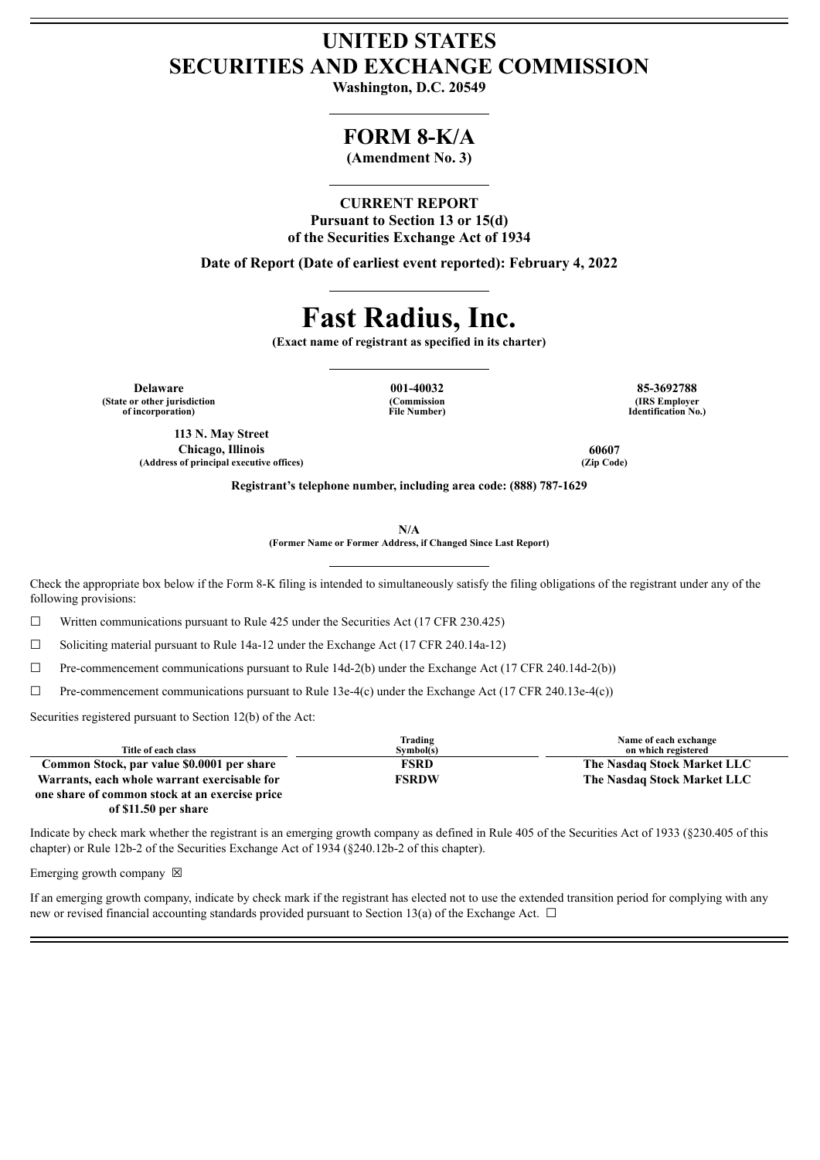# **UNITED STATES SECURITIES AND EXCHANGE COMMISSION**

**Washington, D.C. 20549**

# **FORM 8-K/A**

**(Amendment No. 3)**

## **CURRENT REPORT**

**Pursuant to Section 13 or 15(d) of the Securities Exchange Act of 1934**

**Date of Report (Date of earliest event reported): February 4, 2022**

# **Fast Radius, Inc.**

**(Exact name of registrant as specified in its charter)**

**Delaware 001-40032 85-3692788 (State or other jurisdiction of incorporation)**

**113 N. May Street Chicago, Illinois 60607**  $(A$ ddress of principal executive offices)

**(Commission File Number)**

**(IRS Employer Identification No.)**

**Registrant's telephone number, including area code: (888) 787-1629**

**N/A**

**(Former Name or Former Address, if Changed Since Last Report)**

Check the appropriate box below if the Form 8-K filing is intended to simultaneously satisfy the filing obligations of the registrant under any of the following provisions:

 $\Box$  Written communications pursuant to Rule 425 under the Securities Act (17 CFR 230.425)

 $\Box$  Soliciting material pursuant to Rule 14a-12 under the Exchange Act (17 CFR 240.14a-12)

 $\Box$  Pre-commencement communications pursuant to Rule 14d-2(b) under the Exchange Act (17 CFR 240.14d-2(b))

 $\Box$  Pre-commencement communications pursuant to Rule 13e-4(c) under the Exchange Act (17 CFR 240.13e-4(c))

Securities registered pursuant to Section 12(b) of the Act:

|                                                | Trading      | Name of each exchange       |
|------------------------------------------------|--------------|-----------------------------|
| Title of each class                            | Symbol(s)    | on which registered         |
| Common Stock, par value \$0.0001 per share     | <b>FSRD</b>  | The Nasdaq Stock Market LLC |
| Warrants, each whole warrant exercisable for   | <b>FSRDW</b> | The Nasdaq Stock Market LLC |
| one share of common stock at an exercise price |              |                             |
| of \$11.50 per share                           |              |                             |

Indicate by check mark whether the registrant is an emerging growth company as defined in Rule 405 of the Securities Act of 1933 (§230.405 of this chapter) or Rule 12b-2 of the Securities Exchange Act of 1934 (§240.12b-2 of this chapter).

Emerging growth company  $\boxtimes$ 

If an emerging growth company, indicate by check mark if the registrant has elected not to use the extended transition period for complying with any new or revised financial accounting standards provided pursuant to Section 13(a) of the Exchange Act.  $\Box$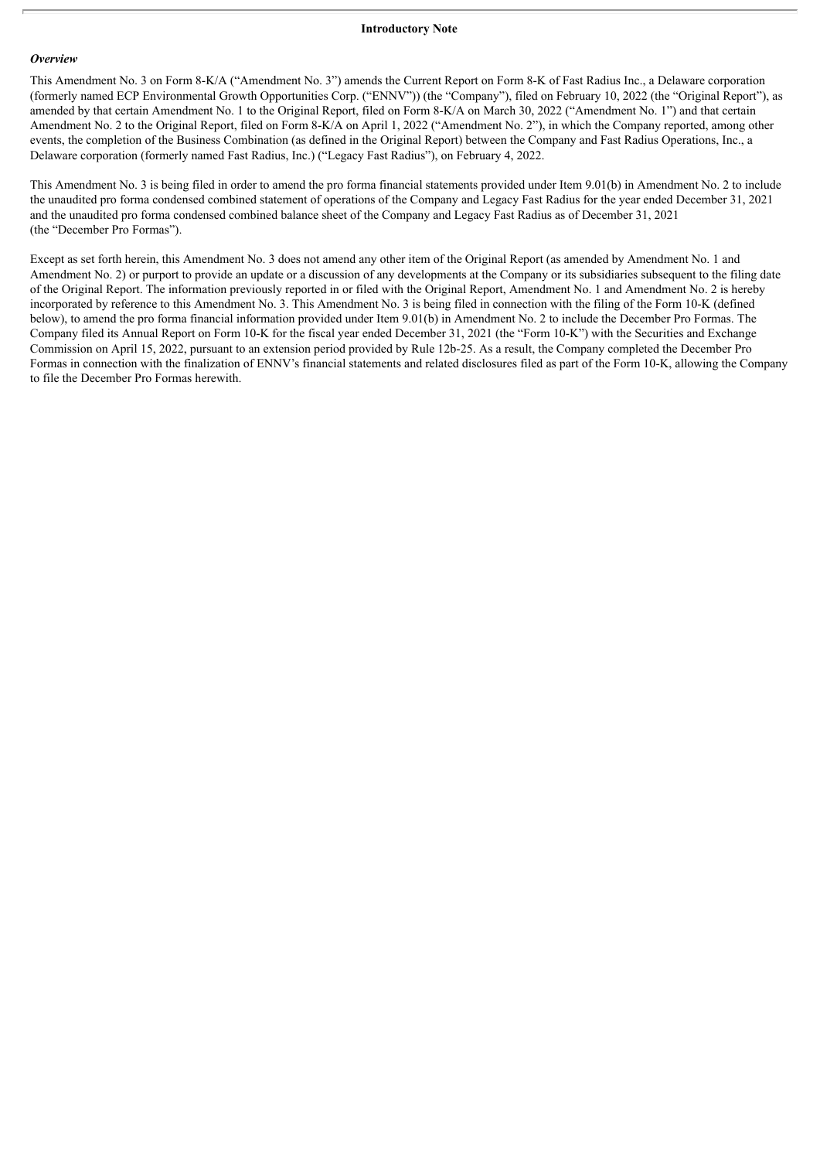#### *Overview*

This Amendment No. 3 on Form 8-K/A ("Amendment No. 3") amends the Current Report on Form 8-K of Fast Radius Inc., a Delaware corporation (formerly named ECP Environmental Growth Opportunities Corp. ("ENNV")) (the "Company"), filed on February 10, 2022 (the "Original Report"), as amended by that certain Amendment No. 1 to the Original Report, filed on Form 8-K/A on March 30, 2022 ("Amendment No. 1") and that certain Amendment No. 2 to the Original Report, filed on Form 8-K/A on April 1, 2022 ("Amendment No. 2"), in which the Company reported, among other events, the completion of the Business Combination (as defined in the Original Report) between the Company and Fast Radius Operations, Inc., a Delaware corporation (formerly named Fast Radius, Inc.) ("Legacy Fast Radius"), on February 4, 2022.

This Amendment No. 3 is being filed in order to amend the pro forma financial statements provided under Item 9.01(b) in Amendment No. 2 to include the unaudited pro forma condensed combined statement of operations of the Company and Legacy Fast Radius for the year ended December 31, 2021 and the unaudited pro forma condensed combined balance sheet of the Company and Legacy Fast Radius as of December 31, 2021 (the "December Pro Formas").

Except as set forth herein, this Amendment No. 3 does not amend any other item of the Original Report (as amended by Amendment No. 1 and Amendment No. 2) or purport to provide an update or a discussion of any developments at the Company or its subsidiaries subsequent to the filing date of the Original Report. The information previously reported in or filed with the Original Report, Amendment No. 1 and Amendment No. 2 is hereby incorporated by reference to this Amendment No. 3. This Amendment No. 3 is being filed in connection with the filing of the Form 10-K (defined below), to amend the pro forma financial information provided under Item 9.01(b) in Amendment No. 2 to include the December Pro Formas. The Company filed its Annual Report on Form 10-K for the fiscal year ended December 31, 2021 (the "Form 10-K") with the Securities and Exchange Commission on April 15, 2022, pursuant to an extension period provided by Rule 12b-25. As a result, the Company completed the December Pro Formas in connection with the finalization of ENNV's financial statements and related disclosures filed as part of the Form 10-K, allowing the Company to file the December Pro Formas herewith.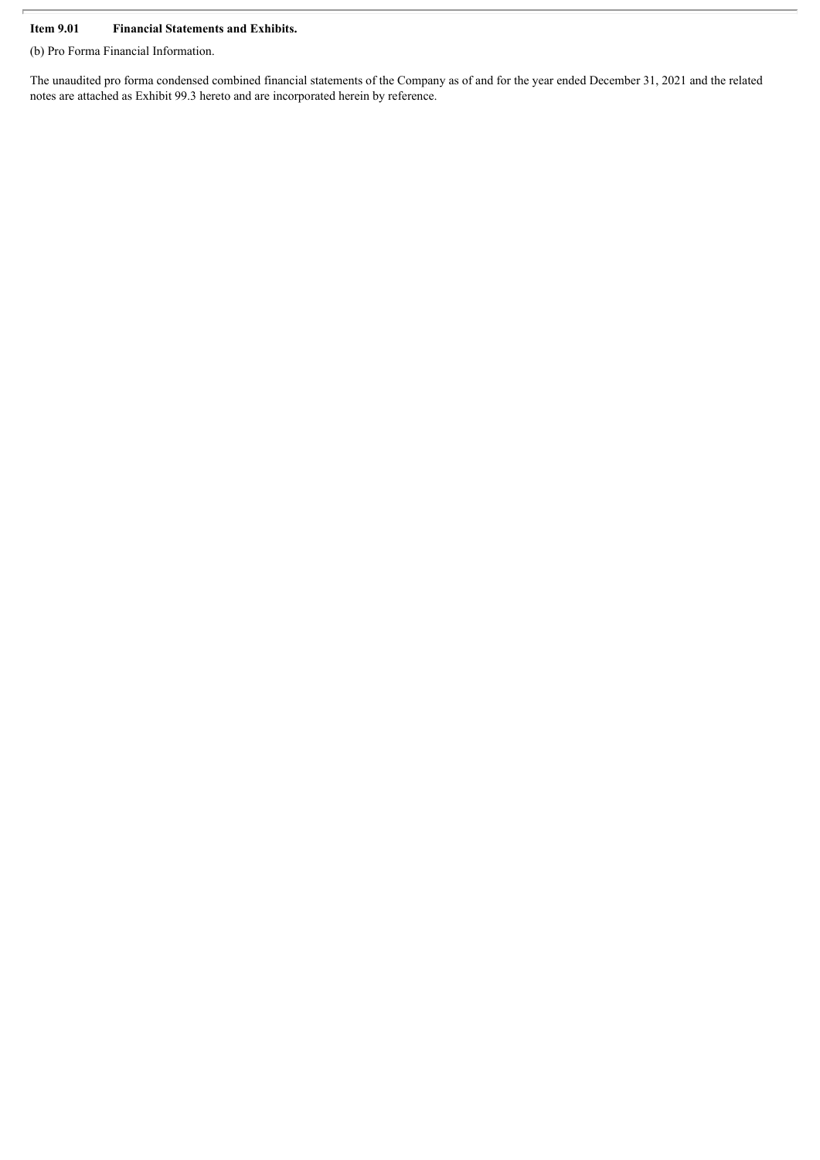## **Item 9.01 Financial Statements and Exhibits.**

(b) Pro Forma Financial Information.

The unaudited pro forma condensed combined financial statements of the Company as of and for the year ended December 31, 2021 and the related notes are attached as Exhibit 99.3 hereto and are incorporated herein by reference.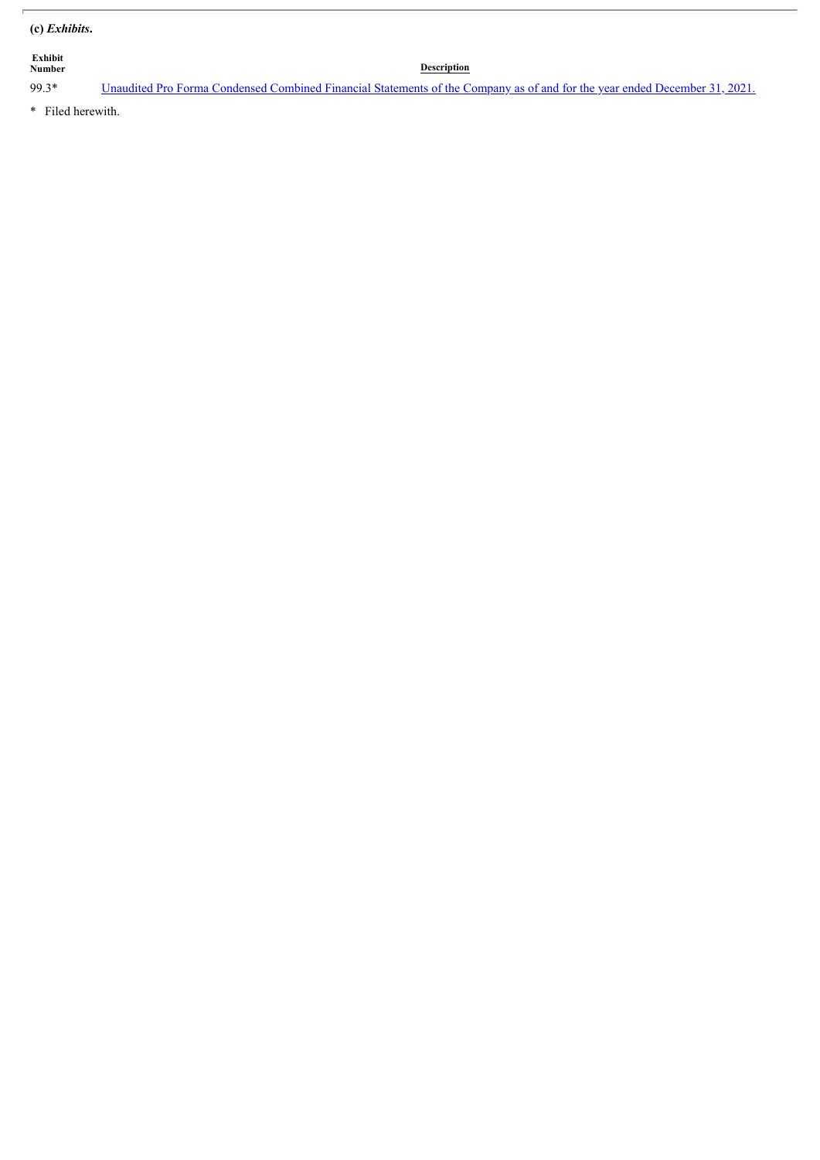# **(c)** *Exhibits***.**

| <b>Exhibit</b><br><b>Number</b> | <b>Description</b>                                                                                                         |
|---------------------------------|----------------------------------------------------------------------------------------------------------------------------|
| 99.3*                           | Unaudited Pro Forma Condensed Combined Financial Statements of the Company as of and for the year ended December 31, 2021. |

\* Filed herewith.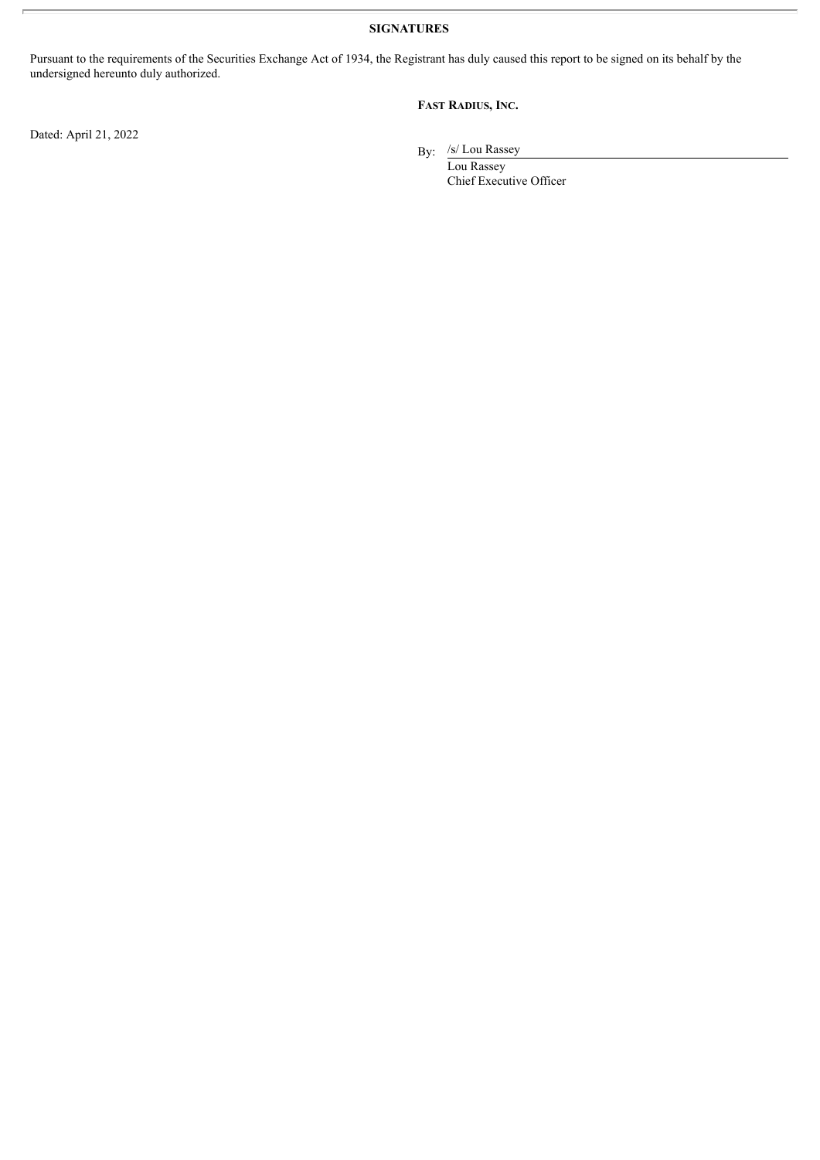**SIGNATURES**

Pursuant to the requirements of the Securities Exchange Act of 1934, the Registrant has duly caused this report to be signed on its behalf by the undersigned hereunto duly authorized.

### **FAST RADIUS, INC.**

Dated: April 21, 2022

By: /s/ Lou Rassey

Lou Rassey Chief Executive Officer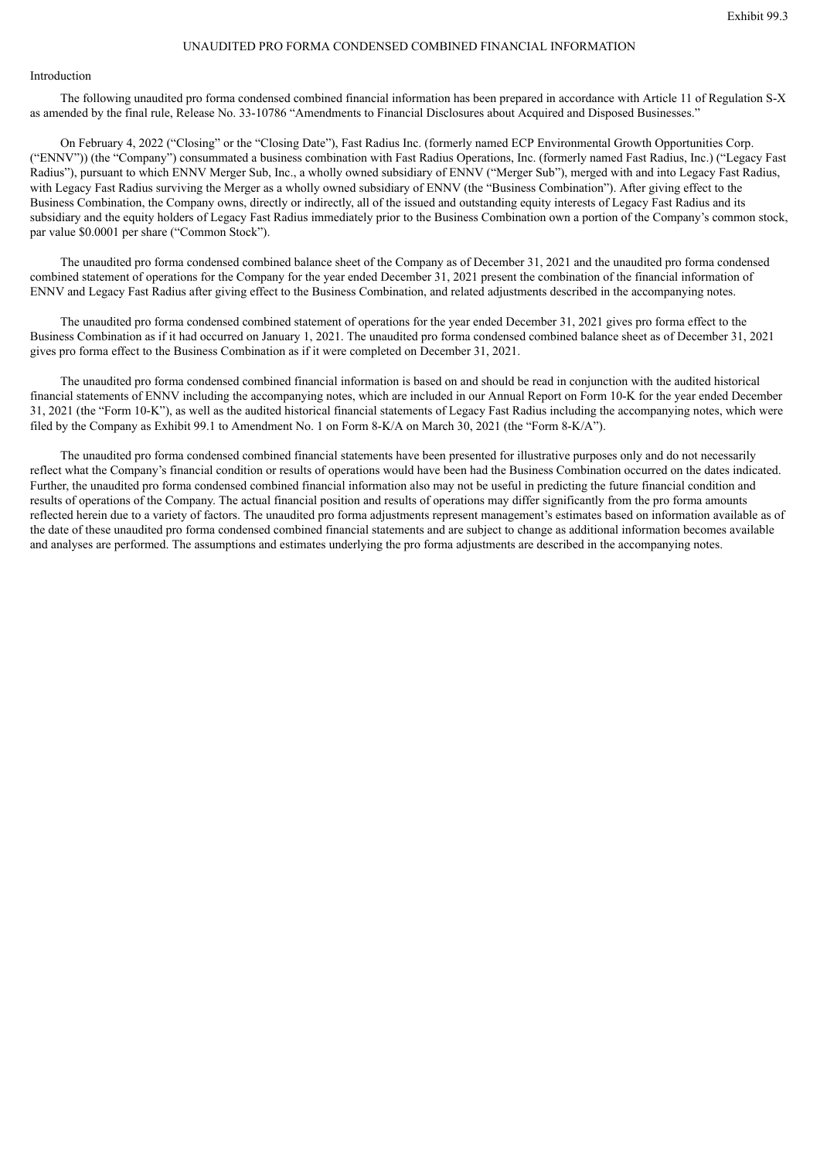#### UNAUDITED PRO FORMA CONDENSED COMBINED FINANCIAL INFORMATION

#### <span id="page-5-0"></span>Introduction

The following unaudited pro forma condensed combined financial information has been prepared in accordance with Article 11 of Regulation S-X as amended by the final rule, Release No. 33-10786 "Amendments to Financial Disclosures about Acquired and Disposed Businesses."

On February 4, 2022 ("Closing" or the "Closing Date"), Fast Radius Inc. (formerly named ECP Environmental Growth Opportunities Corp. ("ENNV")) (the "Company") consummated a business combination with Fast Radius Operations, Inc. (formerly named Fast Radius, Inc.) ("Legacy Fast Radius"), pursuant to which ENNV Merger Sub, Inc., a wholly owned subsidiary of ENNV ("Merger Sub"), merged with and into Legacy Fast Radius, with Legacy Fast Radius surviving the Merger as a wholly owned subsidiary of ENNV (the "Business Combination"). After giving effect to the Business Combination, the Company owns, directly or indirectly, all of the issued and outstanding equity interests of Legacy Fast Radius and its subsidiary and the equity holders of Legacy Fast Radius immediately prior to the Business Combination own a portion of the Company's common stock, par value \$0.0001 per share ("Common Stock").

The unaudited pro forma condensed combined balance sheet of the Company as of December 31, 2021 and the unaudited pro forma condensed combined statement of operations for the Company for the year ended December 31, 2021 present the combination of the financial information of ENNV and Legacy Fast Radius after giving effect to the Business Combination, and related adjustments described in the accompanying notes.

The unaudited pro forma condensed combined statement of operations for the year ended December 31, 2021 gives pro forma effect to the Business Combination as if it had occurred on January 1, 2021. The unaudited pro forma condensed combined balance sheet as of December 31, 2021 gives pro forma effect to the Business Combination as if it were completed on December 31, 2021.

The unaudited pro forma condensed combined financial information is based on and should be read in conjunction with the audited historical financial statements of ENNV including the accompanying notes, which are included in our Annual Report on Form 10-K for the year ended December 31, 2021 (the "Form 10-K"), as well as the audited historical financial statements of Legacy Fast Radius including the accompanying notes, which were filed by the Company as Exhibit 99.1 to Amendment No. 1 on Form 8-K/A on March 30, 2021 (the "Form 8-K/A").

The unaudited pro forma condensed combined financial statements have been presented for illustrative purposes only and do not necessarily reflect what the Company's financial condition or results of operations would have been had the Business Combination occurred on the dates indicated. Further, the unaudited pro forma condensed combined financial information also may not be useful in predicting the future financial condition and results of operations of the Company. The actual financial position and results of operations may differ significantly from the pro forma amounts reflected herein due to a variety of factors. The unaudited pro forma adjustments represent management's estimates based on information available as of the date of these unaudited pro forma condensed combined financial statements and are subject to change as additional information becomes available and analyses are performed. The assumptions and estimates underlying the pro forma adjustments are described in the accompanying notes.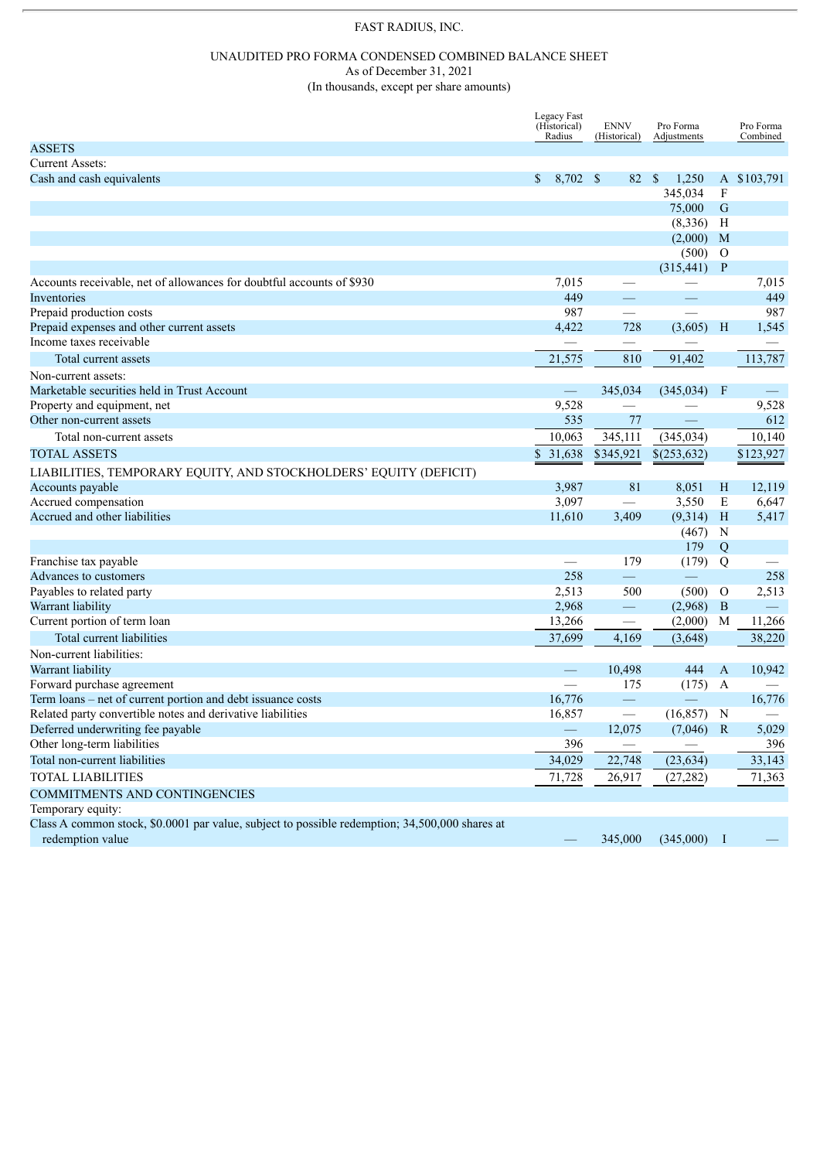# FAST RADIUS, INC.

#### UNAUDITED PRO FORMA CONDENSED COMBINED BALANCE SHEET As of December 31, 2021

(In thousands, except per share amounts)

|                                                                                                                     | Legacy Fast<br>(Historical) | <b>ENNV</b>              | Pro Forma    |                  | Pro Forma                |
|---------------------------------------------------------------------------------------------------------------------|-----------------------------|--------------------------|--------------|------------------|--------------------------|
| <b>ASSETS</b>                                                                                                       | Radius                      | (Historical)             | Adjustments  |                  | Combined                 |
| <b>Current Assets:</b>                                                                                              |                             |                          |              |                  |                          |
| Cash and cash equivalents                                                                                           | 8,702 \$<br>$\mathbb{S}^-$  | 82 \$                    | 1,250        |                  | A \$103,791              |
|                                                                                                                     |                             |                          | 345,034      | F                |                          |
|                                                                                                                     |                             |                          | 75,000       | G                |                          |
|                                                                                                                     |                             |                          | (8, 336)     | Н                |                          |
|                                                                                                                     |                             |                          | (2,000)      | M                |                          |
|                                                                                                                     |                             |                          | (500)        | $\Omega$         |                          |
|                                                                                                                     |                             |                          | (315, 441)   | $\mathbf{P}$     |                          |
| Accounts receivable, net of allowances for doubtful accounts of \$930                                               | 7,015                       |                          |              |                  | 7,015                    |
| Inventories                                                                                                         | 449                         |                          |              |                  | 449                      |
| Prepaid production costs                                                                                            | 987                         |                          |              |                  | 987                      |
| Prepaid expenses and other current assets                                                                           | 4,422                       | 728                      | (3,605)      | H                | 1,545                    |
| Income taxes receivable                                                                                             |                             |                          |              |                  |                          |
| Total current assets                                                                                                | 21,575                      | 810                      | 91,402       |                  | 113,787                  |
| Non-current assets:                                                                                                 |                             |                          |              |                  |                          |
| Marketable securities held in Trust Account                                                                         | $\overline{\phantom{0}}$    | 345,034                  | (345, 034)   | F                |                          |
| Property and equipment, net                                                                                         | 9,528                       |                          |              |                  | 9,528                    |
| Other non-current assets                                                                                            | 535                         | 77                       |              |                  | 612                      |
| Total non-current assets                                                                                            | 10,063                      | 345,111                  | (345, 034)   |                  | 10,140                   |
| <b>TOTAL ASSETS</b>                                                                                                 | \$31,638                    | \$345,921                | \$(253,632)  |                  | \$123,927                |
|                                                                                                                     |                             |                          |              |                  |                          |
| LIABILITIES, TEMPORARY EQUITY, AND STOCKHOLDERS' EQUITY (DEFICIT)                                                   |                             |                          |              |                  |                          |
| Accounts payable                                                                                                    | 3,987                       | 81                       | 8,051        | Η                | 12,119                   |
| Accrued compensation                                                                                                | 3,097                       |                          | 3,550        | E                | 6,647                    |
| Accrued and other liabilities                                                                                       | 11,610                      | 3,409                    | (9,314)      | H                | 5,417                    |
|                                                                                                                     |                             |                          | (467)<br>179 | N                |                          |
| Franchise tax payable                                                                                               |                             | 179                      | (179)        | Q<br>Q           |                          |
| Advances to customers                                                                                               | 258                         | $\equiv$                 |              |                  | 258                      |
| Payables to related party                                                                                           | 2,513                       | 500                      | (500)        | $\Omega$         | 2,513                    |
| Warrant liability                                                                                                   | 2,968                       | $\overline{\phantom{0}}$ | (2,968)      | B                | $\overline{\phantom{m}}$ |
| Current portion of term loan                                                                                        | 13,266                      |                          | (2,000)      | M                | 11,266                   |
| Total current liabilities                                                                                           | 37,699                      | 4,169                    | (3,648)      |                  | 38,220                   |
| Non-current liabilities:                                                                                            |                             |                          |              |                  |                          |
| Warrant liability                                                                                                   |                             | 10,498                   | 444          | $\mathbf{A}$     | 10,942                   |
| Forward purchase agreement                                                                                          |                             | 175                      | (175)        | $\boldsymbol{A}$ |                          |
| Term loans – net of current portion and debt issuance costs                                                         | 16,776                      | $\equiv$                 |              |                  | 16,776                   |
| Related party convertible notes and derivative liabilities                                                          | 16,857                      |                          | (16, 857)    | N                |                          |
| Deferred underwriting fee payable                                                                                   |                             | 12,075                   | $(7,046)$ R  |                  | 5,029                    |
| Other long-term liabilities                                                                                         | 396                         |                          |              |                  | 396                      |
| Total non-current liabilities                                                                                       | 34,029                      | 22,748                   | (23, 634)    |                  | 33,143                   |
| <b>TOTAL LIABILITIES</b>                                                                                            |                             |                          |              |                  | 71,363                   |
|                                                                                                                     | 71,728                      | 26,917                   | (27, 282)    |                  |                          |
| COMMITMENTS AND CONTINGENCIES                                                                                       |                             |                          |              |                  |                          |
| Temporary equity:<br>Class A common stock, \$0.0001 par value, subject to possible redemption; 34,500,000 shares at |                             |                          |              |                  |                          |
| redemption value                                                                                                    |                             | 345,000                  | (345,000)    | - 1              |                          |
|                                                                                                                     |                             |                          |              |                  |                          |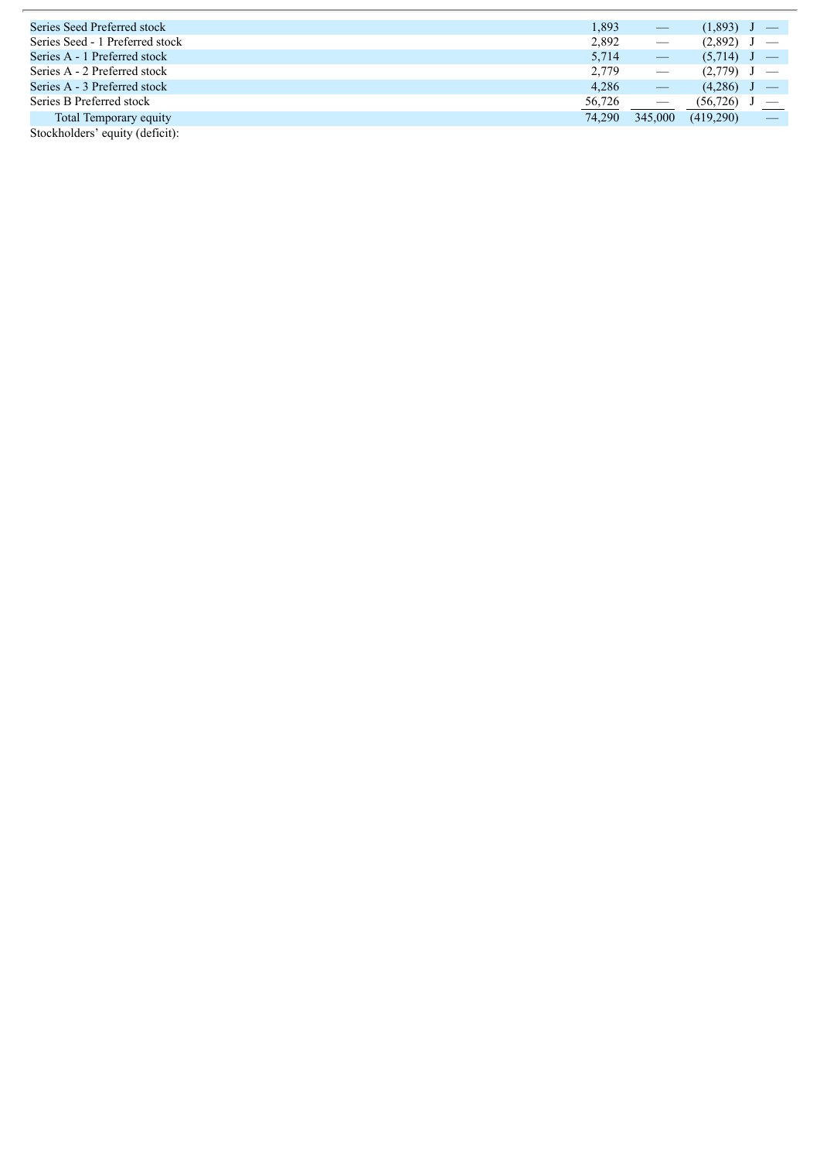| Series Seed Preferred stock     | 1,893  |                          | (1,893)   |  |
|---------------------------------|--------|--------------------------|-----------|--|
| Series Seed - 1 Preferred stock | 2.892  |                          | (2,892)   |  |
| Series A - 1 Preferred stock    | 5.714  |                          | (5,714)   |  |
| Series A - 2 Preferred stock    | 2.779  |                          | (2,779)   |  |
| Series A - 3 Preferred stock    | 4.286  |                          | (4,286)   |  |
| Series B Preferred stock        | 56,726 | $\overline{\phantom{m}}$ | (56, 726) |  |
| Total Temporary equity          | 74.290 | 345,000                  | (419.290) |  |
| Stockholders' equity (deficit): |        |                          |           |  |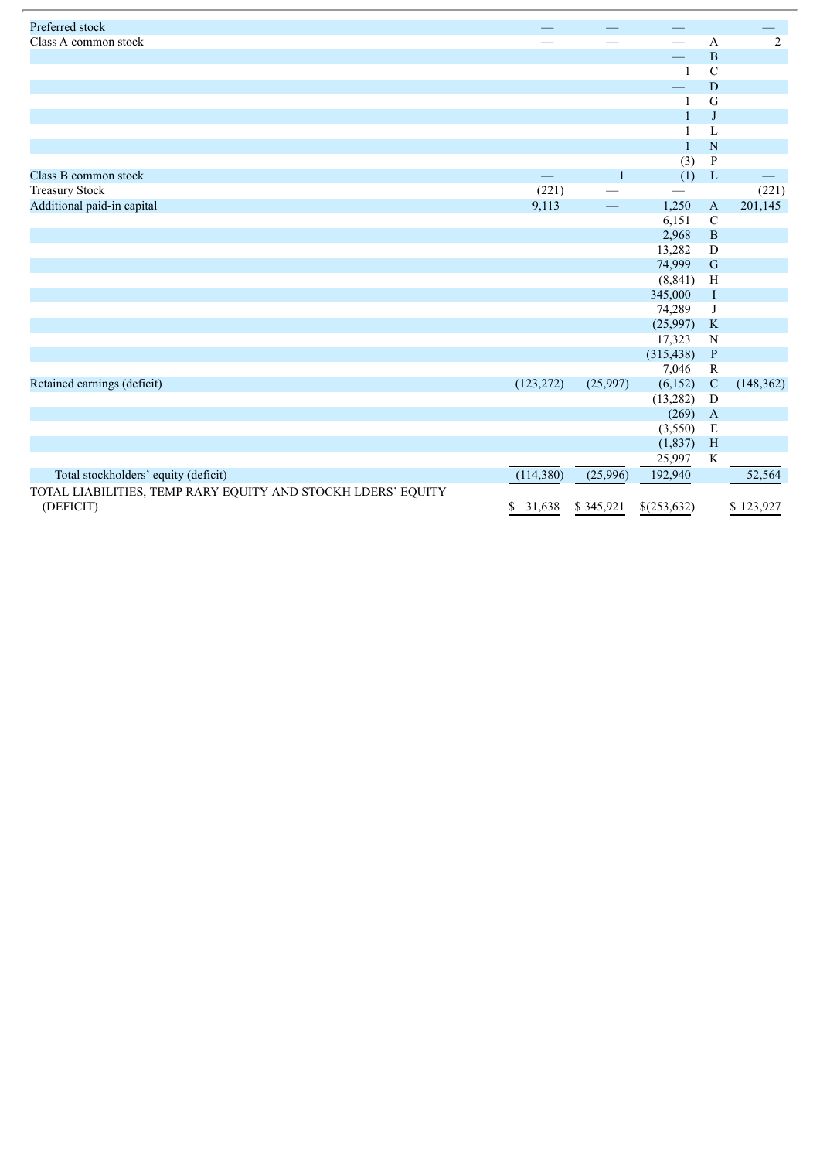| Preferred stock                                                           |              |                          |                      |                          |                          |
|---------------------------------------------------------------------------|--------------|--------------------------|----------------------|--------------------------|--------------------------|
| Class A common stock                                                      |              |                          |                      | A                        | $\overline{2}$           |
|                                                                           |              |                          |                      | $\, {\bf B}$             |                          |
|                                                                           |              |                          |                      | $\overline{C}$           |                          |
|                                                                           |              |                          |                      | $\mathbf D$              |                          |
|                                                                           |              |                          | 1                    | G                        |                          |
|                                                                           |              |                          | $\mathbf{1}$         | J                        |                          |
|                                                                           |              |                          | 1                    | L                        |                          |
|                                                                           |              |                          | $\mathbf{1}$         | ${\bf N}$                |                          |
|                                                                           |              |                          | (3)                  | $\, {\bf P}$             |                          |
| Class B common stock                                                      |              | $\mathbf{1}$             | (1)                  | $\mathbf L$              | $\overline{\phantom{0}}$ |
| <b>Treasury Stock</b>                                                     | (221)        |                          |                      |                          | (221)                    |
| Additional paid-in capital                                                | 9,113        | $\overline{\phantom{m}}$ | 1,250                | $\mathbf{A}$             | 201,145                  |
|                                                                           |              |                          | 6,151                | $\mathbf C$              |                          |
|                                                                           |              |                          | 2,968                | $\, {\bf B}$             |                          |
|                                                                           |              |                          | 13,282               | D                        |                          |
|                                                                           |              |                          | 74,999               | $\mathbf G$              |                          |
|                                                                           |              |                          | (8, 841)             | H                        |                          |
|                                                                           |              |                          | 345,000              | $\rm I$                  |                          |
|                                                                           |              |                          | 74,289               | J                        |                          |
|                                                                           |              |                          | (25,997)             | $\rm K$                  |                          |
|                                                                           |              |                          | 17,323               | ${\bf N}$                |                          |
|                                                                           |              |                          | (315, 438)           | $\, {\bf P}$             |                          |
|                                                                           |              |                          | 7,046                | ${\bf R}$                |                          |
| Retained earnings (deficit)                                               | (123, 272)   | (25,997)                 | (6,152)<br>(13, 282) | $\mathbf C$<br>${\bf D}$ | (148, 362)               |
|                                                                           |              |                          | (269)                | $\mathbf{A}$             |                          |
|                                                                           |              |                          | (3,550)              | $\mathbf E$              |                          |
|                                                                           |              |                          | (1, 837)             | H                        |                          |
|                                                                           |              |                          | 25,997               | K                        |                          |
| Total stockholders' equity (deficit)                                      | (114,380)    | (25,996)                 | 192,940              |                          | 52,564                   |
|                                                                           |              |                          |                      |                          |                          |
| TOTAL LIABILITIES, TEMP RARY EQUITY AND STOCKH LDERS' EQUITY<br>(DEFICIT) | 31,638<br>\$ | \$345,921                | \$(253,632)          |                          | \$123,927                |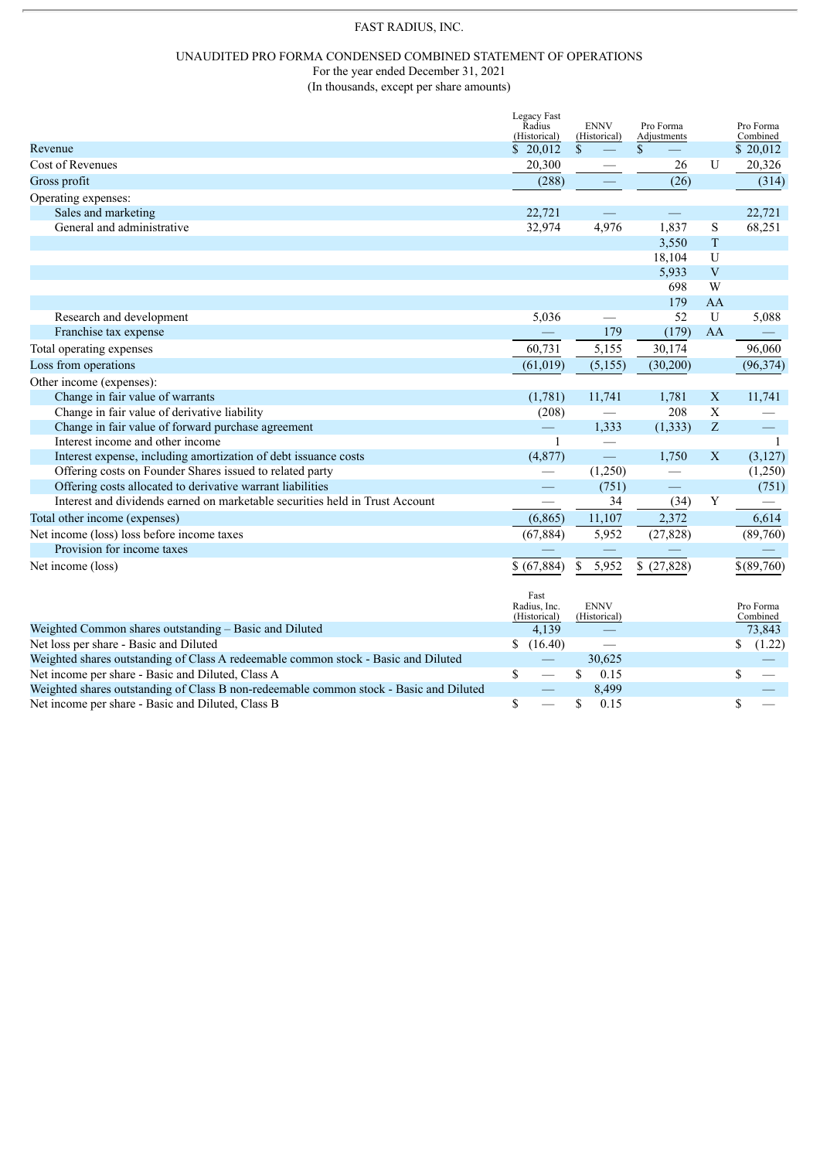# FAST RADIUS, INC.

#### UNAUDITED PRO FORMA CONDENSED COMBINED STATEMENT OF OPERATIONS For the year ended December 31, 2021

(In thousands, except per share amounts)

|                                                                                        | Legacy Fast<br>Radius        | <b>ENNV</b>                 | Pro Forma   |                | Pro Forma             |
|----------------------------------------------------------------------------------------|------------------------------|-----------------------------|-------------|----------------|-----------------------|
|                                                                                        | (Historical)                 | (Historical)                | Adjustments |                | Combined              |
| Revenue                                                                                | \$20,012                     | \$                          | \$          |                | \$20,012              |
| Cost of Revenues                                                                       | 20,300                       |                             | 26          | U              | 20,326                |
| Gross profit                                                                           | (288)                        |                             | (26)        |                | (314)                 |
| Operating expenses:                                                                    |                              |                             |             |                |                       |
| Sales and marketing                                                                    | 22,721                       |                             |             |                | 22,721                |
| General and administrative                                                             | 32,974                       | 4,976                       | 1,837       | S              | 68,251                |
|                                                                                        |                              |                             | 3,550       | T              |                       |
|                                                                                        |                              |                             | 18,104      | $\mathbf U$    |                       |
|                                                                                        |                              |                             | 5,933       | $\overline{V}$ |                       |
|                                                                                        |                              |                             | 698         | W              |                       |
|                                                                                        |                              |                             | 179         | AA             |                       |
| Research and development                                                               | 5,036                        |                             | 52          | U              | 5,088                 |
| Franchise tax expense                                                                  |                              | 179                         | (179)       | AA             |                       |
| Total operating expenses                                                               | 60,731                       | 5,155                       | 30,174      |                | 96,060                |
| Loss from operations                                                                   | (61, 019)                    | (5, 155)                    | (30,200)    |                | (96, 374)             |
| Other income (expenses):                                                               |                              |                             |             |                |                       |
| Change in fair value of warrants                                                       | (1,781)                      | 11,741                      | 1,781       | $\mathbf X$    | 11,741                |
| Change in fair value of derivative liability                                           | (208)                        |                             | 208         | $\mathbf X$    |                       |
| Change in fair value of forward purchase agreement                                     | $\hspace{0.05cm}$            | 1,333                       | (1, 333)    | Z              | $=$                   |
| Interest income and other income                                                       | $\mathbf{1}$                 | $\overline{\phantom{0}}$    |             |                | $\overline{1}$        |
| Interest expense, including amortization of debt issuance costs                        | (4,877)                      | ═                           | 1,750       | $\mathbf X$    | (3,127)               |
| Offering costs on Founder Shares issued to related party                               |                              | (1,250)                     |             |                | (1,250)               |
| Offering costs allocated to derivative warrant liabilities                             |                              | (751)                       | $\equiv$    |                | (751)                 |
| Interest and dividends earned on marketable securities held in Trust Account           |                              | 34                          | (34)        | Y              |                       |
| Total other income (expenses)                                                          | (6, 865)                     | 11,107                      | 2,372       |                | 6,614                 |
| Net income (loss) loss before income taxes                                             | (67, 884)                    | 5,952                       | (27, 828)   |                | (89,760)              |
| Provision for income taxes                                                             |                              |                             |             |                |                       |
| Net income (loss)                                                                      | \$ (67,884)                  | 5,952<br>\$                 | \$(27,828)  |                | \$(89,760)            |
|                                                                                        |                              |                             |             |                |                       |
|                                                                                        | Fast                         |                             |             |                |                       |
|                                                                                        | Radius, Inc.<br>(Historical) | <b>ENNV</b><br>(Historical) |             |                | Pro Forma<br>Combined |
| Weighted Common shares outstanding - Basic and Diluted                                 | 4,139                        |                             |             |                | 73,843                |
| Net loss per share - Basic and Diluted                                                 | \$<br>(16.40)                |                             |             |                | \$<br>(1.22)          |
| Weighted shares outstanding of Class A redeemable common stock - Basic and Diluted     |                              | 30,625                      |             |                |                       |
| Net income per share - Basic and Diluted, Class A                                      | \$                           | \$<br>0.15                  |             |                | \$                    |
| Weighted shares outstanding of Class B non-redeemable common stock - Basic and Diluted |                              | 8,499                       |             |                |                       |
| Net income per share - Basic and Diluted, Class B                                      | \$                           | \$<br>0.15                  |             |                | \$                    |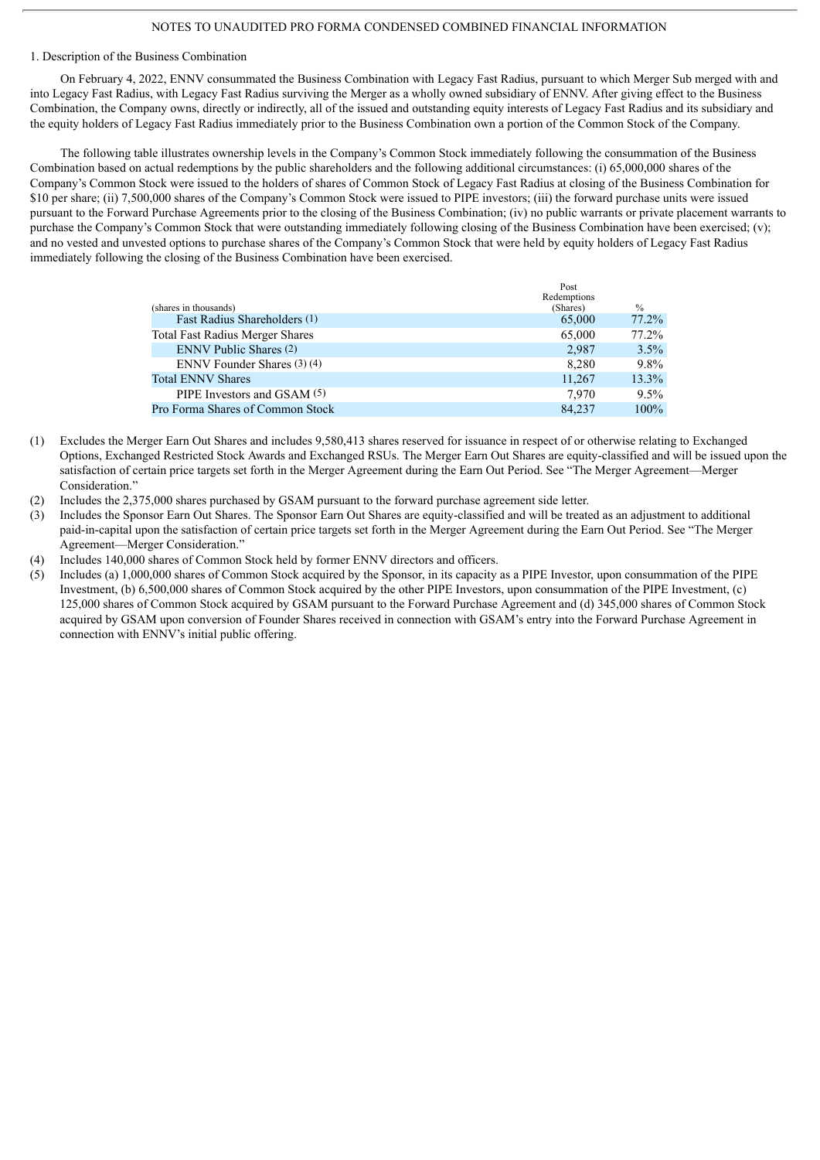#### NOTES TO UNAUDITED PRO FORMA CONDENSED COMBINED FINANCIAL INFORMATION

#### 1. Description of the Business Combination

On February 4, 2022, ENNV consummated the Business Combination with Legacy Fast Radius, pursuant to which Merger Sub merged with and into Legacy Fast Radius, with Legacy Fast Radius surviving the Merger as a wholly owned subsidiary of ENNV. After giving effect to the Business Combination, the Company owns, directly or indirectly, all of the issued and outstanding equity interests of Legacy Fast Radius and its subsidiary and the equity holders of Legacy Fast Radius immediately prior to the Business Combination own a portion of the Common Stock of the Company.

The following table illustrates ownership levels in the Company's Common Stock immediately following the consummation of the Business Combination based on actual redemptions by the public shareholders and the following additional circumstances: (i) 65,000,000 shares of the Company's Common Stock were issued to the holders of shares of Common Stock of Legacy Fast Radius at closing of the Business Combination for \$10 per share; (ii) 7,500,000 shares of the Company's Common Stock were issued to PIPE investors; (iii) the forward purchase units were issued pursuant to the Forward Purchase Agreements prior to the closing of the Business Combination; (iv) no public warrants or private placement warrants to purchase the Company's Common Stock that were outstanding immediately following closing of the Business Combination have been exercised; (v); and no vested and unvested options to purchase shares of the Company's Common Stock that were held by equity holders of Legacy Fast Radius immediately following the closing of the Business Combination have been exercised.

|                                        | Post        |         |
|----------------------------------------|-------------|---------|
|                                        | Redemptions |         |
| (shares in thousands)                  | (Shares)    | $\%$    |
| Fast Radius Shareholders (1)           | 65,000      | 77.2%   |
| <b>Total Fast Radius Merger Shares</b> | 65,000      | 77.2%   |
| <b>ENNV Public Shares (2)</b>          | 2,987       | 3.5%    |
| ENNV Founder Shares (3)(4)             | 8,280       | $9.8\%$ |
| <b>Total ENNV Shares</b>               | 11.267      | 13.3%   |
| PIPE Investors and GSAM (5)            | 7.970       | $9.5\%$ |
| Pro Forma Shares of Common Stock       | 84.237      | $100\%$ |
|                                        |             |         |

- (1) Excludes the Merger Earn Out Shares and includes 9,580,413 shares reserved for issuance in respect of or otherwise relating to Exchanged Options, Exchanged Restricted Stock Awards and Exchanged RSUs. The Merger Earn Out Shares are equity-classified and will be issued upon the satisfaction of certain price targets set forth in the Merger Agreement during the Earn Out Period. See "The Merger Agreement—Merger Consideration."
- (2) Includes the 2,375,000 shares purchased by GSAM pursuant to the forward purchase agreement side letter.
- (3) Includes the Sponsor Earn Out Shares. The Sponsor Earn Out Shares are equity-classified and will be treated as an adjustment to additional paid-in-capital upon the satisfaction of certain price targets set forth in the Merger Agreement during the Earn Out Period. See "The Merger Agreement—Merger Consideration."
- (4) Includes 140,000 shares of Common Stock held by former ENNV directors and officers.
- (5) Includes (a) 1,000,000 shares of Common Stock acquired by the Sponsor, in its capacity as a PIPE Investor, upon consummation of the PIPE Investment, (b) 6,500,000 shares of Common Stock acquired by the other PIPE Investors, upon consummation of the PIPE Investment, (c) 125,000 shares of Common Stock acquired by GSAM pursuant to the Forward Purchase Agreement and (d) 345,000 shares of Common Stock acquired by GSAM upon conversion of Founder Shares received in connection with GSAM's entry into the Forward Purchase Agreement in connection with ENNV's initial public offering.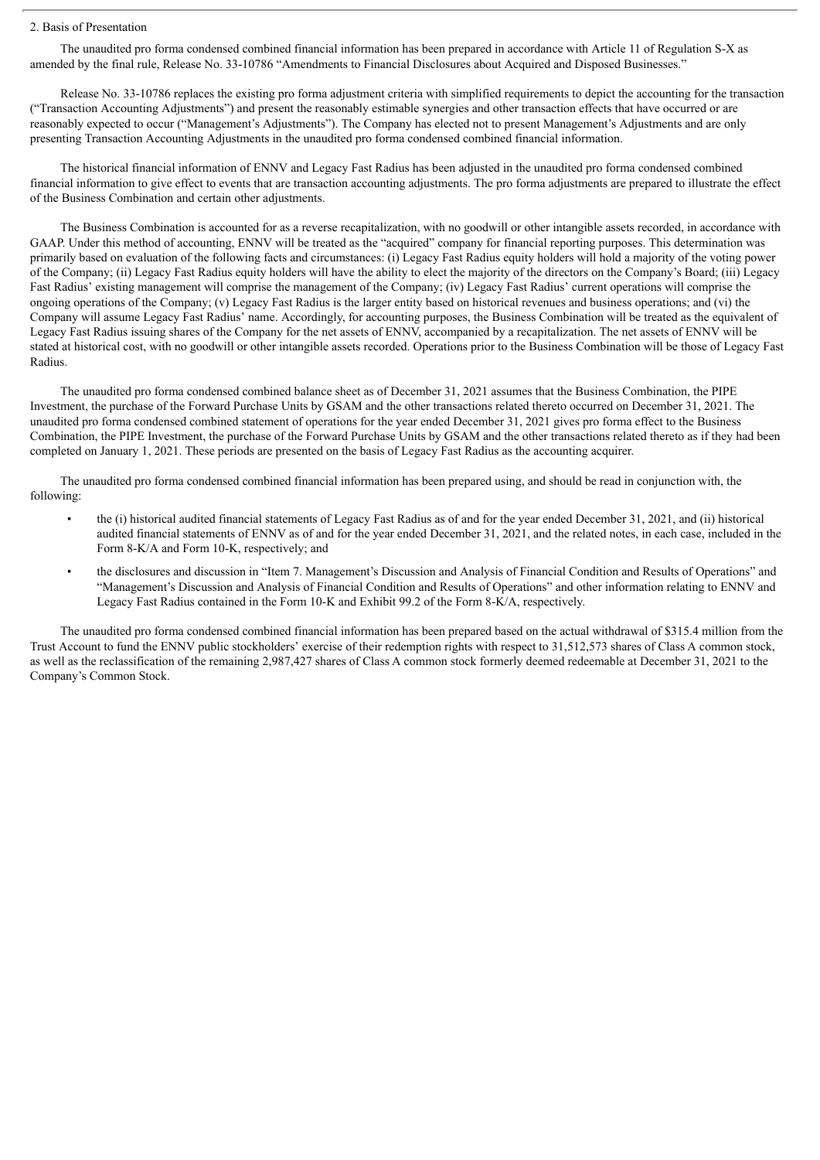#### 2. Basis of Presentation

The unaudited pro forma condensed combined financial information has been prepared in accordance with Article 11 of Regulation S-X as amended by the final rule, Release No. 33-10786 "Amendments to Financial Disclosures about Acquired and Disposed Businesses."

Release No. 33-10786 replaces the existing pro forma adjustment criteria with simplified requirements to depict the accounting for the transaction ("Transaction Accounting Adjustments") and present the reasonably estimable synergies and other transaction effects that have occurred or are reasonably expected to occur ("Management's Adjustments"). The Company has elected not to present Management's Adjustments and are only presenting Transaction Accounting Adjustments in the unaudited pro forma condensed combined financial information.

The historical financial information of ENNV and Legacy Fast Radius has been adjusted in the unaudited pro forma condensed combined financial information to give effect to events that are transaction accounting adjustments. The pro forma adjustments are prepared to illustrate the effect of the Business Combination and certain other adjustments.

The Business Combination is accounted for as a reverse recapitalization, with no goodwill or other intangible assets recorded, in accordance with GAAP. Under this method of accounting, ENNV will be treated as the "acquired" company for financial reporting purposes. This determination was primarily based on evaluation of the following facts and circumstances: (i) Legacy Fast Radius equity holders will hold a majority of the voting power of the Company; (ii) Legacy Fast Radius equity holders will have the ability to elect the majority of the directors on the Company's Board; (iii) Legacy Fast Radius' existing management will comprise the management of the Company; (iv) Legacy Fast Radius' current operations will comprise the ongoing operations of the Company; (v) Legacy Fast Radius is the larger entity based on historical revenues and business operations; and (vi) the Company will assume Legacy Fast Radius' name. Accordingly, for accounting purposes, the Business Combination will be treated as the equivalent of Legacy Fast Radius issuing shares of the Company for the net assets of ENNV, accompanied by a recapitalization. The net assets of ENNV will be stated at historical cost, with no goodwill or other intangible assets recorded. Operations prior to the Business Combination will be those of Legacy Fast Radius.

The unaudited pro forma condensed combined balance sheet as of December 31, 2021 assumes that the Business Combination, the PIPE Investment, the purchase of the Forward Purchase Units by GSAM and the other transactions related thereto occurred on December 31, 2021. The unaudited pro forma condensed combined statement of operations for the year ended December 31, 2021 gives pro forma effect to the Business Combination, the PIPE Investment, the purchase of the Forward Purchase Units by GSAM and the other transactions related thereto as if they had been completed on January 1, 2021. These periods are presented on the basis of Legacy Fast Radius as the accounting acquirer.

The unaudited pro forma condensed combined financial information has been prepared using, and should be read in conjunction with, the following:

- the (i) historical audited financial statements of Legacy Fast Radius as of and for the year ended December 31, 2021, and (ii) historical audited financial statements of ENNV as of and for the year ended December 31, 2021, and the related notes, in each case, included in the Form 8-K/A and Form 10-K, respectively; and
- the disclosures and discussion in "Item 7. Management's Discussion and Analysis of Financial Condition and Results of Operations" and "Management's Discussion and Analysis of Financial Condition and Results of Operations" and other information relating to ENNV and Legacy Fast Radius contained in the Form 10-K and Exhibit 99.2 of the Form 8-K/A, respectively.

The unaudited pro forma condensed combined financial information has been prepared based on the actual withdrawal of \$315.4 million from the Trust Account to fund the ENNV public stockholders' exercise of their redemption rights with respect to 31,512,573 shares of Class A common stock, as well as the reclassification of the remaining 2,987,427 shares of Class A common stock formerly deemed redeemable at December 31, 2021 to the Company's Common Stock.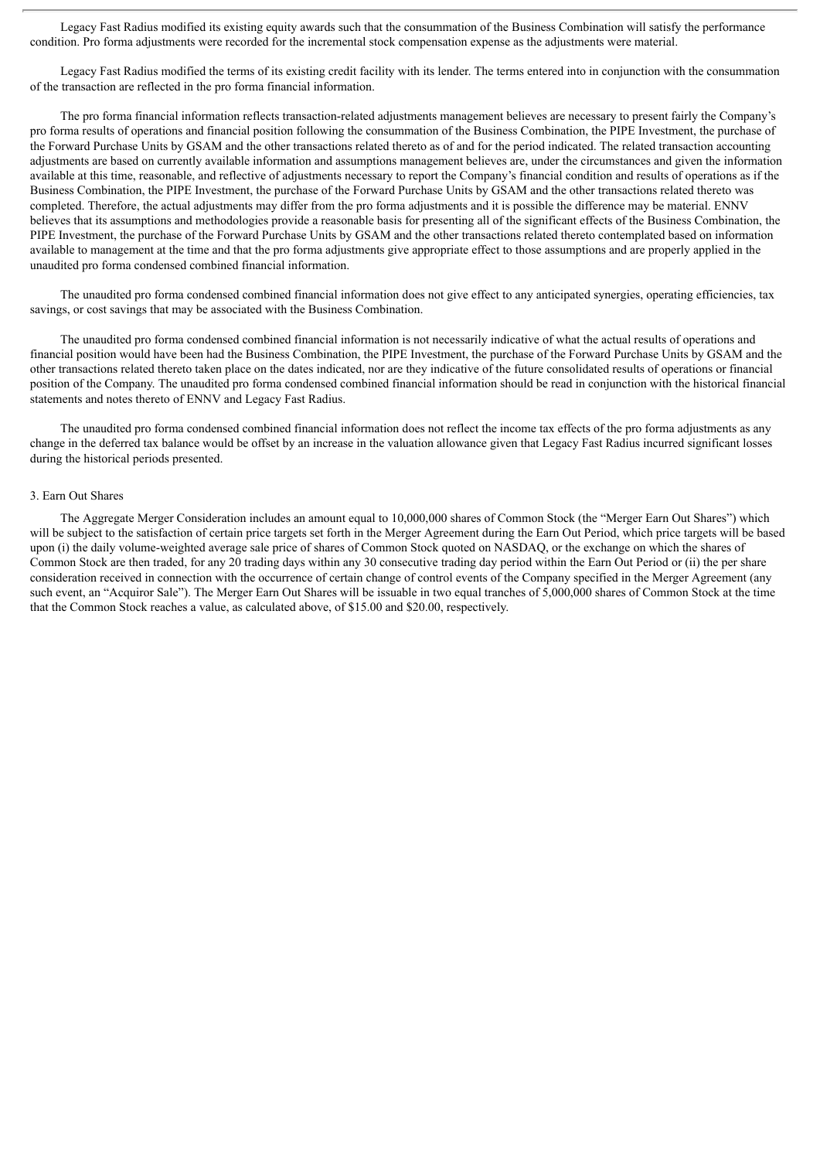Legacy Fast Radius modified its existing equity awards such that the consummation of the Business Combination will satisfy the performance condition. Pro forma adjustments were recorded for the incremental stock compensation expense as the adjustments were material.

Legacy Fast Radius modified the terms of its existing credit facility with its lender. The terms entered into in conjunction with the consummation of the transaction are reflected in the pro forma financial information.

The pro forma financial information reflects transaction-related adjustments management believes are necessary to present fairly the Company's pro forma results of operations and financial position following the consummation of the Business Combination, the PIPE Investment, the purchase of the Forward Purchase Units by GSAM and the other transactions related thereto as of and for the period indicated. The related transaction accounting adjustments are based on currently available information and assumptions management believes are, under the circumstances and given the information available at this time, reasonable, and reflective of adjustments necessary to report the Company's financial condition and results of operations as if the Business Combination, the PIPE Investment, the purchase of the Forward Purchase Units by GSAM and the other transactions related thereto was completed. Therefore, the actual adjustments may differ from the pro forma adjustments and it is possible the difference may be material. ENNV believes that its assumptions and methodologies provide a reasonable basis for presenting all of the significant effects of the Business Combination, the PIPE Investment, the purchase of the Forward Purchase Units by GSAM and the other transactions related thereto contemplated based on information available to management at the time and that the pro forma adjustments give appropriate effect to those assumptions and are properly applied in the unaudited pro forma condensed combined financial information.

The unaudited pro forma condensed combined financial information does not give effect to any anticipated synergies, operating efficiencies, tax savings, or cost savings that may be associated with the Business Combination.

The unaudited pro forma condensed combined financial information is not necessarily indicative of what the actual results of operations and financial position would have been had the Business Combination, the PIPE Investment, the purchase of the Forward Purchase Units by GSAM and the other transactions related thereto taken place on the dates indicated, nor are they indicative of the future consolidated results of operations or financial position of the Company. The unaudited pro forma condensed combined financial information should be read in conjunction with the historical financial statements and notes thereto of ENNV and Legacy Fast Radius.

The unaudited pro forma condensed combined financial information does not reflect the income tax effects of the pro forma adjustments as any change in the deferred tax balance would be offset by an increase in the valuation allowance given that Legacy Fast Radius incurred significant losses during the historical periods presented.

#### 3. Earn Out Shares

The Aggregate Merger Consideration includes an amount equal to 10,000,000 shares of Common Stock (the "Merger Earn Out Shares") which will be subject to the satisfaction of certain price targets set forth in the Merger Agreement during the Earn Out Period, which price targets will be based upon (i) the daily volume-weighted average sale price of shares of Common Stock quoted on NASDAQ, or the exchange on which the shares of Common Stock are then traded, for any 20 trading days within any 30 consecutive trading day period within the Earn Out Period or (ii) the per share consideration received in connection with the occurrence of certain change of control events of the Company specified in the Merger Agreement (any such event, an "Acquiror Sale"). The Merger Earn Out Shares will be issuable in two equal tranches of 5,000,000 shares of Common Stock at the time that the Common Stock reaches a value, as calculated above, of \$15.00 and \$20.00, respectively.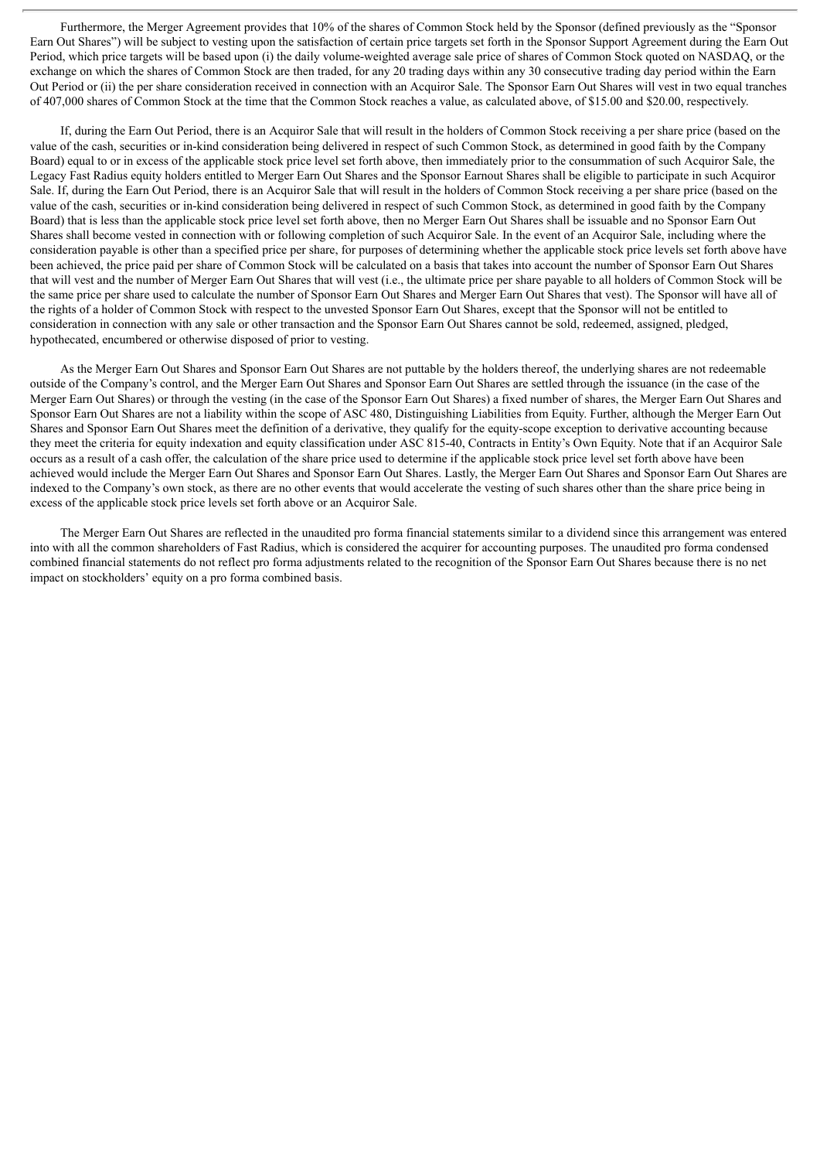Furthermore, the Merger Agreement provides that 10% of the shares of Common Stock held by the Sponsor (defined previously as the "Sponsor Earn Out Shares") will be subject to vesting upon the satisfaction of certain price targets set forth in the Sponsor Support Agreement during the Earn Out Period, which price targets will be based upon (i) the daily volume-weighted average sale price of shares of Common Stock quoted on NASDAQ, or the exchange on which the shares of Common Stock are then traded, for any 20 trading days within any 30 consecutive trading day period within the Earn Out Period or (ii) the per share consideration received in connection with an Acquiror Sale. The Sponsor Earn Out Shares will vest in two equal tranches of 407,000 shares of Common Stock at the time that the Common Stock reaches a value, as calculated above, of \$15.00 and \$20.00, respectively.

If, during the Earn Out Period, there is an Acquiror Sale that will result in the holders of Common Stock receiving a per share price (based on the value of the cash, securities or in-kind consideration being delivered in respect of such Common Stock, as determined in good faith by the Company Board) equal to or in excess of the applicable stock price level set forth above, then immediately prior to the consummation of such Acquiror Sale, the Legacy Fast Radius equity holders entitled to Merger Earn Out Shares and the Sponsor Earnout Shares shall be eligible to participate in such Acquiror Sale. If, during the Earn Out Period, there is an Acquiror Sale that will result in the holders of Common Stock receiving a per share price (based on the value of the cash, securities or in-kind consideration being delivered in respect of such Common Stock, as determined in good faith by the Company Board) that is less than the applicable stock price level set forth above, then no Merger Earn Out Shares shall be issuable and no Sponsor Earn Out Shares shall become vested in connection with or following completion of such Acquiror Sale. In the event of an Acquiror Sale, including where the consideration payable is other than a specified price per share, for purposes of determining whether the applicable stock price levels set forth above have been achieved, the price paid per share of Common Stock will be calculated on a basis that takes into account the number of Sponsor Earn Out Shares that will vest and the number of Merger Earn Out Shares that will vest (i.e., the ultimate price per share payable to all holders of Common Stock will be the same price per share used to calculate the number of Sponsor Earn Out Shares and Merger Earn Out Shares that vest). The Sponsor will have all of the rights of a holder of Common Stock with respect to the unvested Sponsor Earn Out Shares, except that the Sponsor will not be entitled to consideration in connection with any sale or other transaction and the Sponsor Earn Out Shares cannot be sold, redeemed, assigned, pledged, hypothecated, encumbered or otherwise disposed of prior to vesting.

As the Merger Earn Out Shares and Sponsor Earn Out Shares are not puttable by the holders thereof, the underlying shares are not redeemable outside of the Company's control, and the Merger Earn Out Shares and Sponsor Earn Out Shares are settled through the issuance (in the case of the Merger Earn Out Shares) or through the vesting (in the case of the Sponsor Earn Out Shares) a fixed number of shares, the Merger Earn Out Shares and Sponsor Earn Out Shares are not a liability within the scope of ASC 480, Distinguishing Liabilities from Equity. Further, although the Merger Earn Out Shares and Sponsor Earn Out Shares meet the definition of a derivative, they qualify for the equity-scope exception to derivative accounting because they meet the criteria for equity indexation and equity classification under ASC 815-40, Contracts in Entity's Own Equity. Note that if an Acquiror Sale occurs as a result of a cash offer, the calculation of the share price used to determine if the applicable stock price level set forth above have been achieved would include the Merger Earn Out Shares and Sponsor Earn Out Shares. Lastly, the Merger Earn Out Shares and Sponsor Earn Out Shares are indexed to the Company's own stock, as there are no other events that would accelerate the vesting of such shares other than the share price being in excess of the applicable stock price levels set forth above or an Acquiror Sale.

The Merger Earn Out Shares are reflected in the unaudited pro forma financial statements similar to a dividend since this arrangement was entered into with all the common shareholders of Fast Radius, which is considered the acquirer for accounting purposes. The unaudited pro forma condensed combined financial statements do not reflect pro forma adjustments related to the recognition of the Sponsor Earn Out Shares because there is no net impact on stockholders' equity on a pro forma combined basis.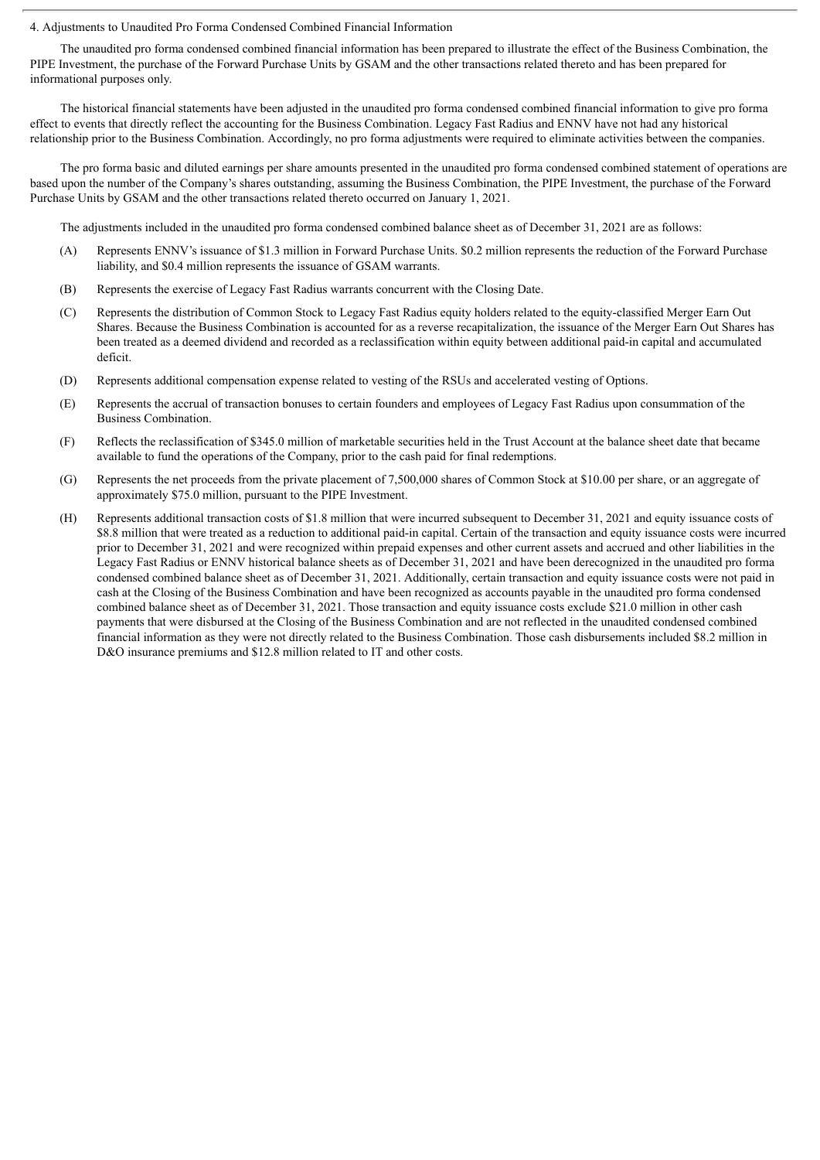#### 4. Adjustments to Unaudited Pro Forma Condensed Combined Financial Information

The unaudited pro forma condensed combined financial information has been prepared to illustrate the effect of the Business Combination, the PIPE Investment, the purchase of the Forward Purchase Units by GSAM and the other transactions related thereto and has been prepared for informational purposes only.

The historical financial statements have been adjusted in the unaudited pro forma condensed combined financial information to give pro forma effect to events that directly reflect the accounting for the Business Combination. Legacy Fast Radius and ENNV have not had any historical relationship prior to the Business Combination. Accordingly, no pro forma adjustments were required to eliminate activities between the companies.

The pro forma basic and diluted earnings per share amounts presented in the unaudited pro forma condensed combined statement of operations are based upon the number of the Company's shares outstanding, assuming the Business Combination, the PIPE Investment, the purchase of the Forward Purchase Units by GSAM and the other transactions related thereto occurred on January 1, 2021.

The adjustments included in the unaudited pro forma condensed combined balance sheet as of December 31, 2021 are as follows:

- (A) Represents ENNV's issuance of \$1.3 million in Forward Purchase Units. \$0.2 million represents the reduction of the Forward Purchase liability, and \$0.4 million represents the issuance of GSAM warrants.
- (B) Represents the exercise of Legacy Fast Radius warrants concurrent with the Closing Date.
- (C) Represents the distribution of Common Stock to Legacy Fast Radius equity holders related to the equity-classified Merger Earn Out Shares. Because the Business Combination is accounted for as a reverse recapitalization, the issuance of the Merger Earn Out Shares has been treated as a deemed dividend and recorded as a reclassification within equity between additional paid-in capital and accumulated deficit.
- (D) Represents additional compensation expense related to vesting of the RSUs and accelerated vesting of Options.
- (E) Represents the accrual of transaction bonuses to certain founders and employees of Legacy Fast Radius upon consummation of the Business Combination.
- (F) Reflects the reclassification of \$345.0 million of marketable securities held in the Trust Account at the balance sheet date that became available to fund the operations of the Company, prior to the cash paid for final redemptions.
- (G) Represents the net proceeds from the private placement of 7,500,000 shares of Common Stock at \$10.00 per share, or an aggregate of approximately \$75.0 million, pursuant to the PIPE Investment.
- (H) Represents additional transaction costs of \$1.8 million that were incurred subsequent to December 31, 2021 and equity issuance costs of \$8.8 million that were treated as a reduction to additional paid-in capital. Certain of the transaction and equity issuance costs were incurred prior to December 31, 2021 and were recognized within prepaid expenses and other current assets and accrued and other liabilities in the Legacy Fast Radius or ENNV historical balance sheets as of December 31, 2021 and have been derecognized in the unaudited pro forma condensed combined balance sheet as of December 31, 2021. Additionally, certain transaction and equity issuance costs were not paid in cash at the Closing of the Business Combination and have been recognized as accounts payable in the unaudited pro forma condensed combined balance sheet as of December 31, 2021. Those transaction and equity issuance costs exclude \$21.0 million in other cash payments that were disbursed at the Closing of the Business Combination and are not reflected in the unaudited condensed combined financial information as they were not directly related to the Business Combination. Those cash disbursements included \$8.2 million in D&O insurance premiums and \$12.8 million related to IT and other costs.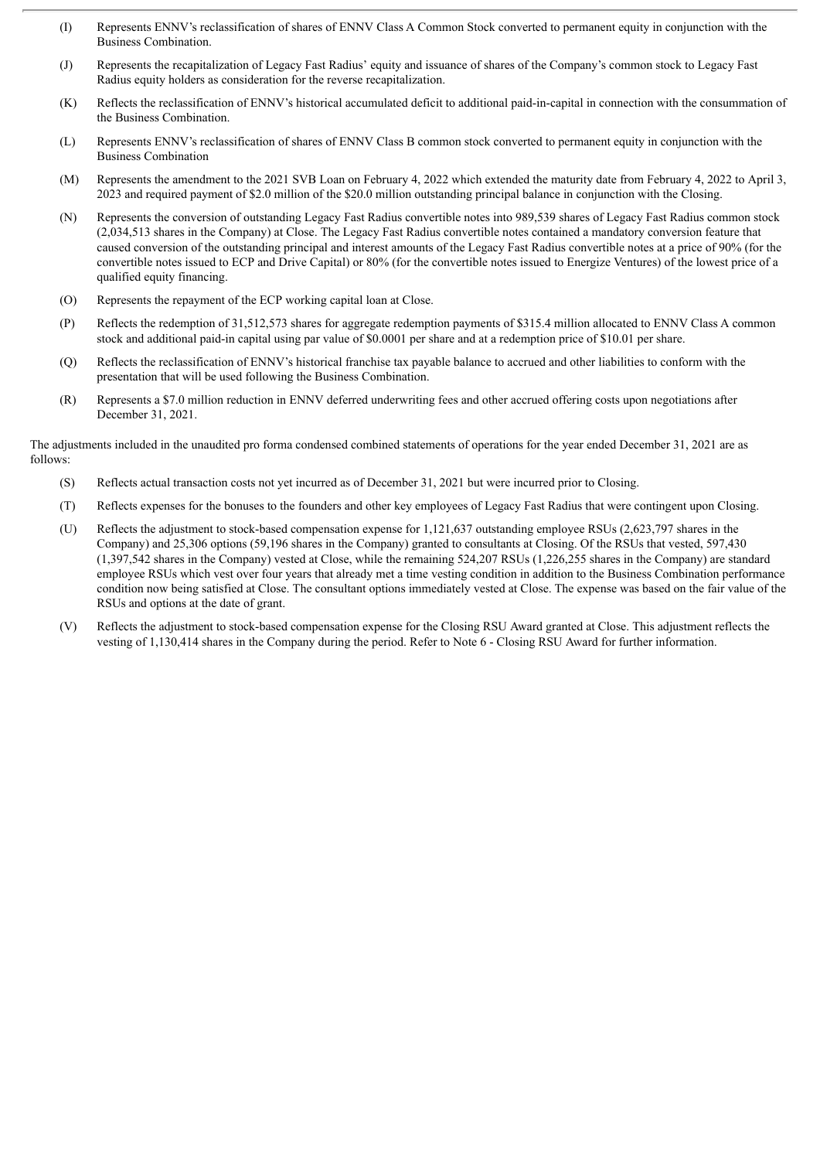- (I) Represents ENNV's reclassification of shares of ENNV Class A Common Stock converted to permanent equity in conjunction with the Business Combination.
- (J) Represents the recapitalization of Legacy Fast Radius' equity and issuance of shares of the Company's common stock to Legacy Fast Radius equity holders as consideration for the reverse recapitalization.
- (K) Reflects the reclassification of ENNV's historical accumulated deficit to additional paid-in-capital in connection with the consummation of the Business Combination.
- (L) Represents ENNV's reclassification of shares of ENNV Class B common stock converted to permanent equity in conjunction with the Business Combination
- (M) Represents the amendment to the 2021 SVB Loan on February 4, 2022 which extended the maturity date from February 4, 2022 to April 3, 2023 and required payment of \$2.0 million of the \$20.0 million outstanding principal balance in conjunction with the Closing.
- (N) Represents the conversion of outstanding Legacy Fast Radius convertible notes into 989,539 shares of Legacy Fast Radius common stock (2,034,513 shares in the Company) at Close. The Legacy Fast Radius convertible notes contained a mandatory conversion feature that caused conversion of the outstanding principal and interest amounts of the Legacy Fast Radius convertible notes at a price of 90% (for the convertible notes issued to ECP and Drive Capital) or 80% (for the convertible notes issued to Energize Ventures) of the lowest price of a qualified equity financing.
- (O) Represents the repayment of the ECP working capital loan at Close.
- (P) Reflects the redemption of 31,512,573 shares for aggregate redemption payments of \$315.4 million allocated to ENNV Class A common stock and additional paid-in capital using par value of \$0.0001 per share and at a redemption price of \$10.01 per share.
- (Q) Reflects the reclassification of ENNV's historical franchise tax payable balance to accrued and other liabilities to conform with the presentation that will be used following the Business Combination.
- (R) Represents a \$7.0 million reduction in ENNV deferred underwriting fees and other accrued offering costs upon negotiations after December 31, 2021.

The adjustments included in the unaudited pro forma condensed combined statements of operations for the year ended December 31, 2021 are as follows:

- (S) Reflects actual transaction costs not yet incurred as of December 31, 2021 but were incurred prior to Closing.
- (T) Reflects expenses for the bonuses to the founders and other key employees of Legacy Fast Radius that were contingent upon Closing.
- (U) Reflects the adjustment to stock-based compensation expense for 1,121,637 outstanding employee RSUs (2,623,797 shares in the Company) and 25,306 options (59,196 shares in the Company) granted to consultants at Closing. Of the RSUs that vested, 597,430 (1,397,542 shares in the Company) vested at Close, while the remaining 524,207 RSUs (1,226,255 shares in the Company) are standard employee RSUs which vest over four years that already met a time vesting condition in addition to the Business Combination performance condition now being satisfied at Close. The consultant options immediately vested at Close. The expense was based on the fair value of the RSUs and options at the date of grant.
- (V) Reflects the adjustment to stock-based compensation expense for the Closing RSU Award granted at Close. This adjustment reflects the vesting of 1,130,414 shares in the Company during the period. Refer to Note 6 - Closing RSU Award for further information.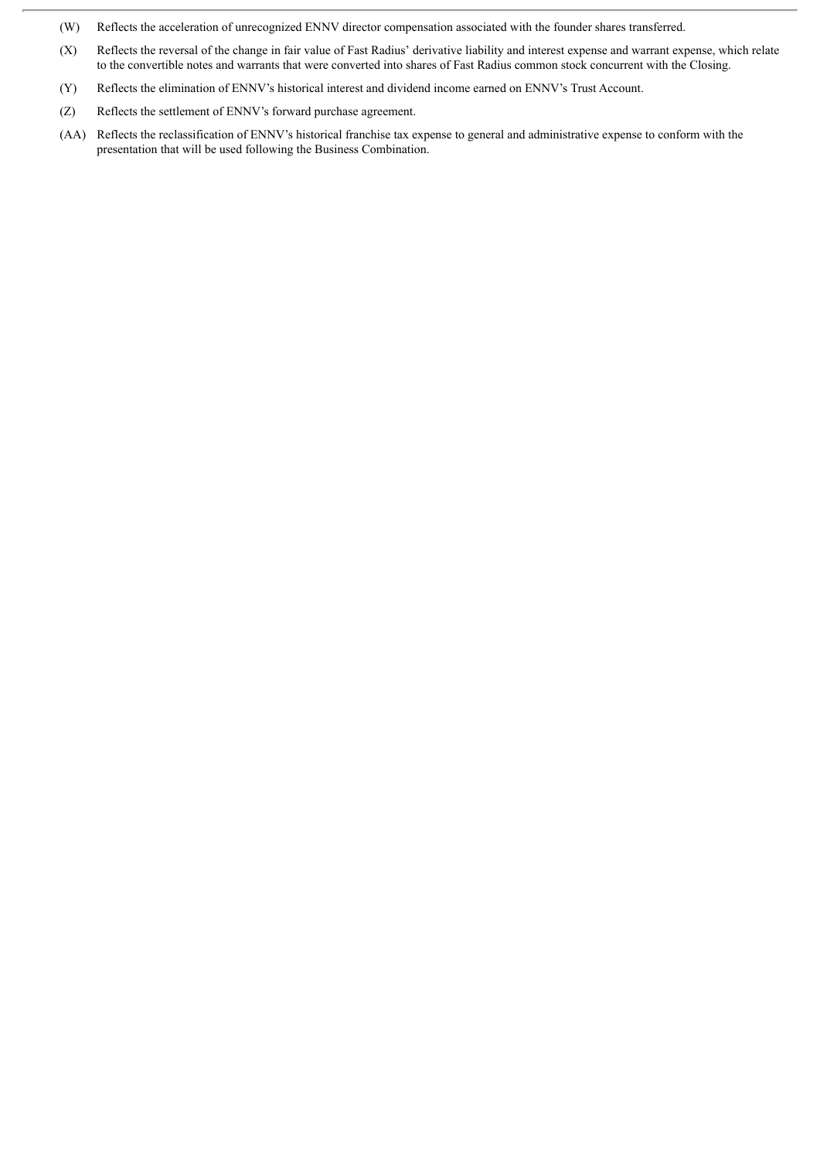- (W) Reflects the acceleration of unrecognized ENNV director compensation associated with the founder shares transferred.
- (X) Reflects the reversal of the change in fair value of Fast Radius' derivative liability and interest expense and warrant expense, which relate to the convertible notes and warrants that were converted into shares of Fast Radius common stock concurrent with the Closing.
- (Y) Reflects the elimination of ENNV's historical interest and dividend income earned on ENNV's Trust Account.
- (Z) Reflects the settlement of ENNV's forward purchase agreement.
- (AA) Reflects the reclassification of ENNV's historical franchise tax expense to general and administrative expense to conform with the presentation that will be used following the Business Combination.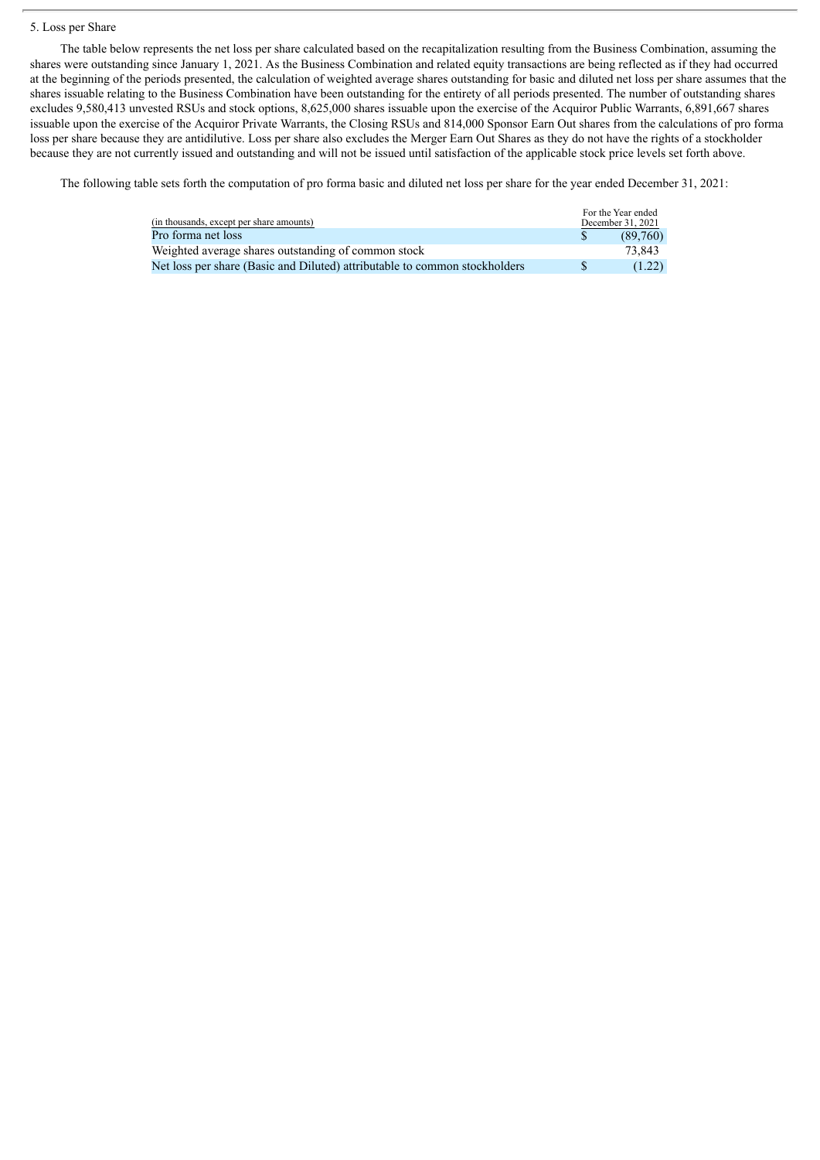#### 5. Loss per Share

The table below represents the net loss per share calculated based on the recapitalization resulting from the Business Combination, assuming the shares were outstanding since January 1, 2021. As the Business Combination and related equity transactions are being reflected as if they had occurred at the beginning of the periods presented, the calculation of weighted average shares outstanding for basic and diluted net loss per share assumes that the shares issuable relating to the Business Combination have been outstanding for the entirety of all periods presented. The number of outstanding shares excludes 9,580,413 unvested RSUs and stock options, 8,625,000 shares issuable upon the exercise of the Acquiror Public Warrants, 6,891,667 shares issuable upon the exercise of the Acquiror Private Warrants, the Closing RSUs and 814,000 Sponsor Earn Out shares from the calculations of pro forma loss per share because they are antidilutive. Loss per share also excludes the Merger Earn Out Shares as they do not have the rights of a stockholder because they are not currently issued and outstanding and will not be issued until satisfaction of the applicable stock price levels set forth above.

The following table sets forth the computation of pro forma basic and diluted net loss per share for the year ended December 31, 2021:

| (in thousands, except per share amounts)                                   | For the Year ended<br>December 31, 2021 |
|----------------------------------------------------------------------------|-----------------------------------------|
| Pro forma net loss                                                         | (89.760)                                |
| Weighted average shares outstanding of common stock                        | 73.843                                  |
| Net loss per share (Basic and Diluted) attributable to common stockholders | (1.22)                                  |